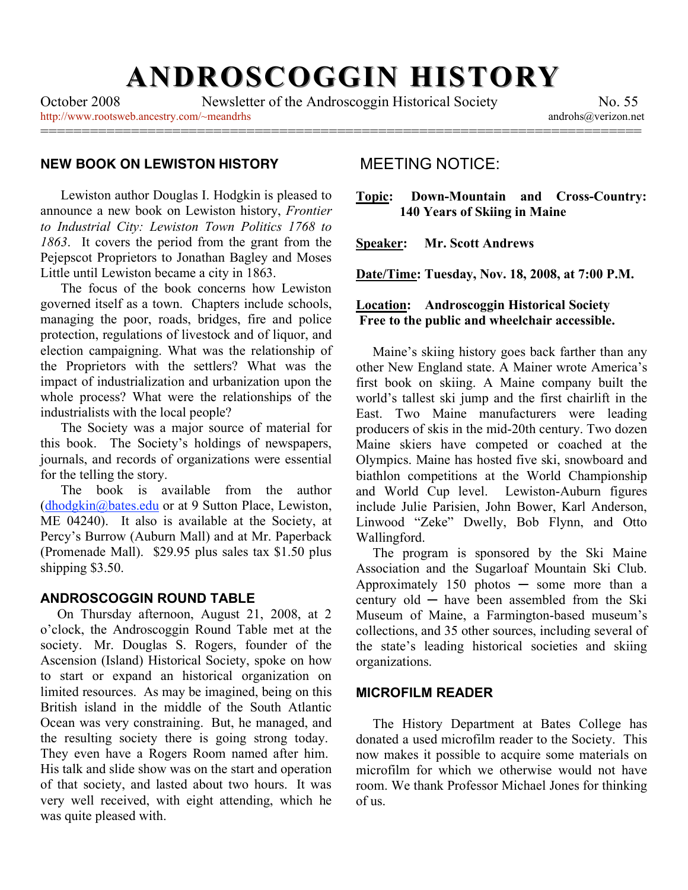# **ANDROSCOGGIN HISTORY**

=========================================================================

October 2008 Newsletter of the Androscoggin Historical Society No. 55

#### http://www.rootsweb.ancestry.com/~meandrhs androhs@verizon.net

## **NEW BOOK ON LEWISTON HISTORY**

Lewiston author Douglas I. Hodgkin is pleased to announce a new book on Lewiston history, *Frontier to Industrial City: Lewiston Town Politics 1768 to 1863*. It covers the period from the grant from the Pejepscot Proprietors to Jonathan Bagley and Moses Little until Lewiston became a city in 1863.

The focus of the book concerns how Lewiston governed itself as a town. Chapters include schools, managing the poor, roads, bridges, fire and police protection, regulations of livestock and of liquor, and election campaigning. What was the relationship of the Proprietors with the settlers? What was the impact of industrialization and urbanization upon the whole process? What were the relationships of the industrialists with the local people?

The Society was a major source of material for this book. The Society's holdings of newspapers, journals, and records of organizations were essential for the telling the story.

The book is available from the author (dhodgkin@bates.edu or at 9 Sutton Place, Lewiston, ME 04240). It also is available at the Society, at Percy's Burrow (Auburn Mall) and at Mr. Paperback (Promenade Mall). \$29.95 plus sales tax \$1.50 plus shipping \$3.50.

## **ANDROSCOGGIN ROUND TABLE**

 On Thursday afternoon, August 21, 2008, at 2 o'clock, the Androscoggin Round Table met at the society. Mr. Douglas S. Rogers, founder of the Ascension (Island) Historical Society, spoke on how to start or expand an historical organization on limited resources. As may be imagined, being on this British island in the middle of the South Atlantic Ocean was very constraining. But, he managed, and the resulting society there is going strong today. They even have a Rogers Room named after him. His talk and slide show was on the start and operation of that society, and lasted about two hours. It was very well received, with eight attending, which he was quite pleased with.

## MEETING NOTICE:

**Topic: Down-Mountain and Cross-Country: 140 Years of Skiing in Maine**

**Speaker: Mr. Scott Andrews**

**Date/Time: Tuesday, Nov. 18, 2008, at 7:00 P.M.**

#### **Location: Androscoggin Historical Society Free to the public and wheelchair accessible.**

Maine's skiing history goes back farther than any other New England state. A Mainer wrote America's first book on skiing. A Maine company built the world's tallest ski jump and the first chairlift in the East. Two Maine manufacturers were leading producers of skis in the mid-20th century. Two dozen Maine skiers have competed or coached at the Olympics. Maine has hosted five ski, snowboard and biathlon competitions at the World Championship and World Cup level. Lewiston-Auburn figures include Julie Parisien, John Bower, Karl Anderson, Linwood "Zeke" Dwelly, Bob Flynn, and Otto Wallingford.

 The program is sponsored by the Ski Maine Association and the Sugarloaf Mountain Ski Club. Approximately  $150$  photos  $-$  some more than a  $century old - have been assembled from the Ski$ Museum of Maine, a Farmington-based museum's collections, and 35 other sources, including several of the state's leading historical societies and skiing organizations.

#### **MICROFILM READER**

 The History Department at Bates College has donated a used microfilm reader to the Society. This now makes it possible to acquire some materials on microfilm for which we otherwise would not have room. We thank Professor Michael Jones for thinking of us.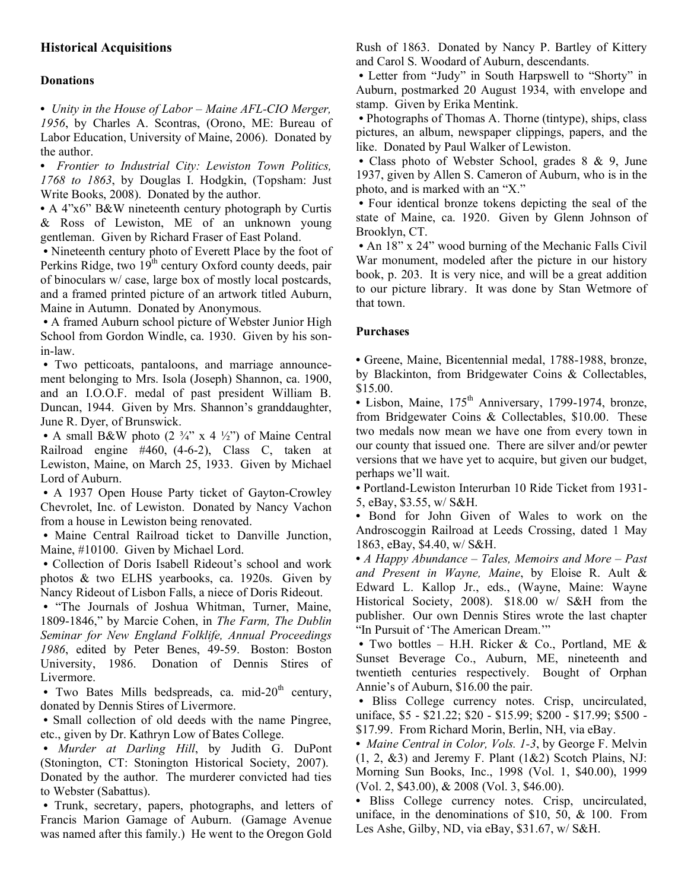## **Historical Acquisitions**

#### **Donations**

**•** *Unity in the House of Labor – Maine AFL-CIO Merger, 1956*, by Charles A. Scontras, (Orono, ME: Bureau of Labor Education, University of Maine, 2006). Donated by the author.

**•** *Frontier to Industrial City: Lewiston Town Politics, 1768 to 1863*, by Douglas I. Hodgkin, (Topsham: Just Write Books, 2008). Donated by the author.

**•** A 4"x6" B&W nineteenth century photograph by Curtis & Ross of Lewiston, ME of an unknown young gentleman. Given by Richard Fraser of East Poland.

**•** Nineteenth century photo of Everett Place by the foot of Perkins Ridge, two 19<sup>th</sup> century Oxford county deeds, pair of binoculars w/ case, large box of mostly local postcards, and a framed printed picture of an artwork titled Auburn, Maine in Autumn. Donated by Anonymous.

**•** A framed Auburn school picture of Webster Junior High School from Gordon Windle, ca. 1930. Given by his sonin-law.

**•** Two petticoats, pantaloons, and marriage announcement belonging to Mrs. Isola (Joseph) Shannon, ca. 1900, and an I.O.O.F. medal of past president William B. Duncan, 1944. Given by Mrs. Shannon's granddaughter, June R. Dyer, of Brunswick.

• A small B&W photo (2 <sup>3</sup>/4" x 4 <sup>1</sup>/<sub>2</sub>") of Maine Central Railroad engine #460, (4-6-2), Class C, taken at Lewiston, Maine, on March 25, 1933. Given by Michael Lord of Auburn.

**•** A 1937 Open House Party ticket of Gayton-Crowley Chevrolet, Inc. of Lewiston. Donated by Nancy Vachon from a house in Lewiston being renovated.

**•** Maine Central Railroad ticket to Danville Junction, Maine, #10100. Given by Michael Lord.

**•** Collection of Doris Isabell Rideout's school and work photos & two ELHS yearbooks, ca. 1920s. Given by Nancy Rideout of Lisbon Falls, a niece of Doris Rideout.

**•** "The Journals of Joshua Whitman, Turner, Maine, 1809-1846," by Marcie Cohen, in *The Farm, The Dublin Seminar for New England Folklife, Annual Proceedings 1986*, edited by Peter Benes, 49-59. Boston: Boston University, 1986. Donation of Dennis Stires of Livermore.

• Two Bates Mills bedspreads, ca. mid-20<sup>th</sup> century, donated by Dennis Stires of Livermore.

• Small collection of old deeds with the name Pingree, etc., given by Dr. Kathryn Low of Bates College.

**•** *Murder at Darling Hill*, by Judith G. DuPont (Stonington, CT: Stonington Historical Society, 2007). Donated by the author. The murderer convicted had ties to Webster (Sabattus).

**•** Trunk, secretary, papers, photographs, and letters of Francis Marion Gamage of Auburn. (Gamage Avenue was named after this family.) He went to the Oregon Gold

Rush of 1863. Donated by Nancy P. Bartley of Kittery and Carol S. Woodard of Auburn, descendants.

**•** Letter from "Judy" in South Harpswell to "Shorty" in Auburn, postmarked 20 August 1934, with envelope and stamp. Given by Erika Mentink.

**•** Photographs of Thomas A. Thorne (tintype), ships, class pictures, an album, newspaper clippings, papers, and the like. Donated by Paul Walker of Lewiston.

**•** Class photo of Webster School, grades 8 & 9, June 1937, given by Allen S. Cameron of Auburn, who is in the photo, and is marked with an "X."

**•** Four identical bronze tokens depicting the seal of the state of Maine, ca. 1920. Given by Glenn Johnson of Brooklyn, CT.

**•** An 18" x 24" wood burning of the Mechanic Falls Civil War monument, modeled after the picture in our history book, p. 203. It is very nice, and will be a great addition to our picture library. It was done by Stan Wetmore of that town.

#### **Purchases**

**•** Greene, Maine, Bicentennial medal, 1788-1988, bronze, by Blackinton, from Bridgewater Coins & Collectables, \$15.00.

• Lisbon, Maine, 175<sup>th</sup> Anniversary, 1799-1974, bronze, from Bridgewater Coins & Collectables, \$10.00. These two medals now mean we have one from every town in our county that issued one. There are silver and/or pewter versions that we have yet to acquire, but given our budget, perhaps we'll wait.

**•** Portland-Lewiston Interurban 10 Ride Ticket from 1931- 5, eBay, \$3.55, w/ S&H.

**•** Bond for John Given of Wales to work on the Androscoggin Railroad at Leeds Crossing, dated 1 May 1863, eBay, \$4.40, w/ S&H.

**•** *A Happy Abundance – Tales, Memoirs and More – Past and Present in Wayne, Maine*, by Eloise R. Ault & Edward L. Kallop Jr., eds., (Wayne, Maine: Wayne Historical Society, 2008). \$18.00 w/ S&H from the publisher. Our own Dennis Stires wrote the last chapter "In Pursuit of 'The American Dream.'"

**•** Two bottles – H.H. Ricker & Co., Portland, ME & Sunset Beverage Co., Auburn, ME, nineteenth and twentieth centuries respectively. Bought of Orphan Annie's of Auburn, \$16.00 the pair.

**•** Bliss College currency notes. Crisp, uncirculated, uniface, \$5 - \$21.22; \$20 - \$15.99; \$200 - \$17.99; \$500 - \$17.99. From Richard Morin, Berlin, NH, via eBay.

**•** *Maine Central in Color, Vols. 1-3*, by George F. Melvin  $(1, 2, \&3)$  and Jeremy F. Plant  $(1\&2)$  Scotch Plains, NJ: Morning Sun Books, Inc., 1998 (Vol. 1, \$40.00), 1999 (Vol. 2, \$43.00), & 2008 (Vol. 3, \$46.00).

**•** Bliss College currency notes. Crisp, uncirculated, uniface, in the denominations of \$10, 50, & 100. From Les Ashe, Gilby, ND, via eBay, \$31.67, w/ S&H.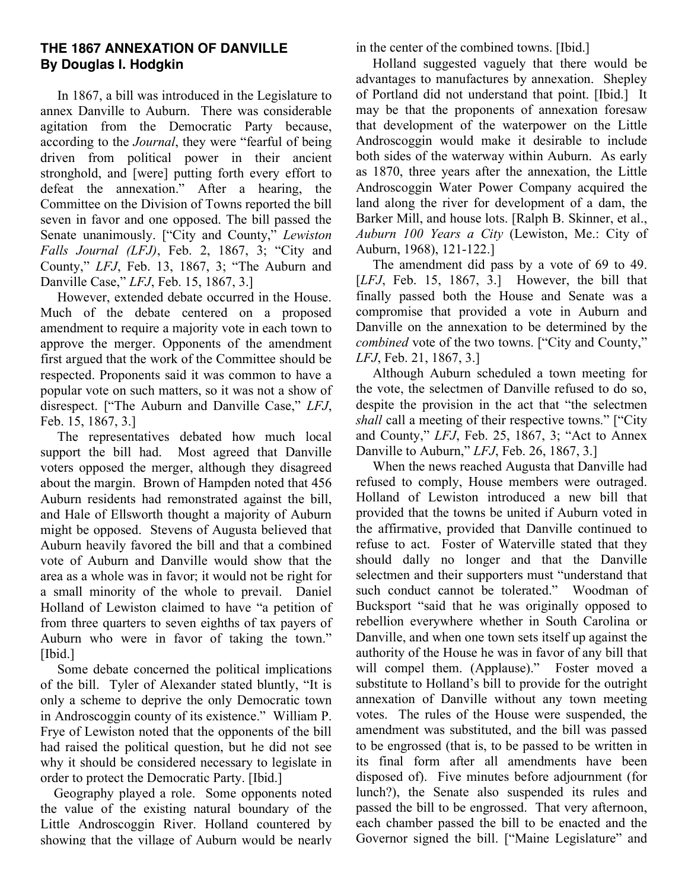## **THE 1867 ANNEXATION OF DANVILLE By Douglas I. Hodgkin**

 In 1867, a bill was introduced in the Legislature to annex Danville to Auburn. There was considerable agitation from the Democratic Party because, according to the *Journal*, they were "fearful of being driven from political power in their ancient stronghold, and [were] putting forth every effort to defeat the annexation." After a hearing, the Committee on the Division of Towns reported the bill seven in favor and one opposed. The bill passed the Senate unanimously. ["City and County," *Lewiston Falls Journal (LFJ)*, Feb. 2, 1867, 3; "City and County," *LFJ*, Feb. 13, 1867, 3; "The Auburn and Danville Case," *LFJ*, Feb. 15, 1867, 3.]

 However, extended debate occurred in the House. Much of the debate centered on a proposed amendment to require a majority vote in each town to approve the merger. Opponents of the amendment first argued that the work of the Committee should be respected. Proponents said it was common to have a popular vote on such matters, so it was not a show of disrespect. ["The Auburn and Danville Case," *LFJ*, Feb. 15, 1867, 3.]

 The representatives debated how much local support the bill had. Most agreed that Danville voters opposed the merger, although they disagreed about the margin. Brown of Hampden noted that 456 Auburn residents had remonstrated against the bill, and Hale of Ellsworth thought a majority of Auburn might be opposed. Stevens of Augusta believed that Auburn heavily favored the bill and that a combined vote of Auburn and Danville would show that the area as a whole was in favor; it would not be right for a small minority of the whole to prevail. Daniel Holland of Lewiston claimed to have "a petition of from three quarters to seven eighths of tax payers of Auburn who were in favor of taking the town." [Ibid.]

 Some debate concerned the political implications of the bill. Tyler of Alexander stated bluntly, "It is only a scheme to deprive the only Democratic town in Androscoggin county of its existence." William P. Frye of Lewiston noted that the opponents of the bill had raised the political question, but he did not see why it should be considered necessary to legislate in order to protect the Democratic Party. [Ibid.]

 Geography played a role. Some opponents noted the value of the existing natural boundary of the Little Androscoggin River. Holland countered by showing that the village of Auburn would be nearly in the center of the combined towns. [Ibid.]

 Holland suggested vaguely that there would be advantages to manufactures by annexation. Shepley of Portland did not understand that point. [Ibid.] It may be that the proponents of annexation foresaw that development of the waterpower on the Little Androscoggin would make it desirable to include both sides of the waterway within Auburn. As early as 1870, three years after the annexation, the Little Androscoggin Water Power Company acquired the land along the river for development of a dam, the Barker Mill, and house lots. [Ralph B. Skinner, et al., *Auburn 100 Years a City* (Lewiston, Me.: City of Auburn, 1968), 121-122.]

 The amendment did pass by a vote of 69 to 49. [*LFJ*, Feb. 15, 1867, 3.] However, the bill that finally passed both the House and Senate was a compromise that provided a vote in Auburn and Danville on the annexation to be determined by the *combined* vote of the two towns. ["City and County," *LFJ*, Feb. 21, 1867, 3.]

 Although Auburn scheduled a town meeting for the vote, the selectmen of Danville refused to do so, despite the provision in the act that "the selectmen *shall* call a meeting of their respective towns." ["City and County," *LFJ*, Feb. 25, 1867, 3; "Act to Annex Danville to Auburn," *LFJ*, Feb. 26, 1867, 3.]

 When the news reached Augusta that Danville had refused to comply, House members were outraged. Holland of Lewiston introduced a new bill that provided that the towns be united if Auburn voted in the affirmative, provided that Danville continued to refuse to act. Foster of Waterville stated that they should dally no longer and that the Danville selectmen and their supporters must "understand that such conduct cannot be tolerated." Woodman of Bucksport "said that he was originally opposed to rebellion everywhere whether in South Carolina or Danville, and when one town sets itself up against the authority of the House he was in favor of any bill that will compel them. (Applause)." Foster moved a substitute to Holland's bill to provide for the outright annexation of Danville without any town meeting votes. The rules of the House were suspended, the amendment was substituted, and the bill was passed to be engrossed (that is, to be passed to be written in its final form after all amendments have been disposed of). Five minutes before adjournment (for lunch?), the Senate also suspended its rules and passed the bill to be engrossed. That very afternoon, each chamber passed the bill to be enacted and the Governor signed the bill. ["Maine Legislature" and